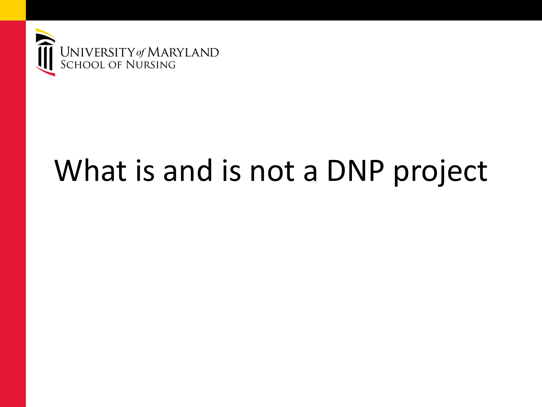

#### What is and is not a DNP project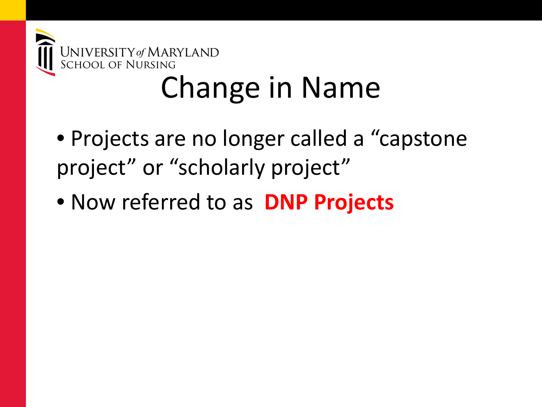

#### Change in Name

- Projects are no longer called a "capstone project" or "scholarly project"
- Now referred to as **DNP Projects**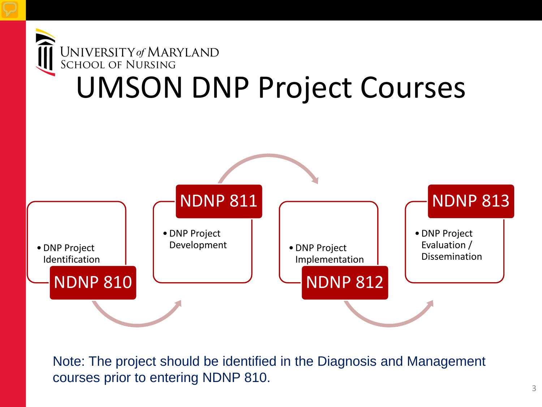

Note: The project should be identified in the Diagnosis and Management courses prior to entering NDNP 810.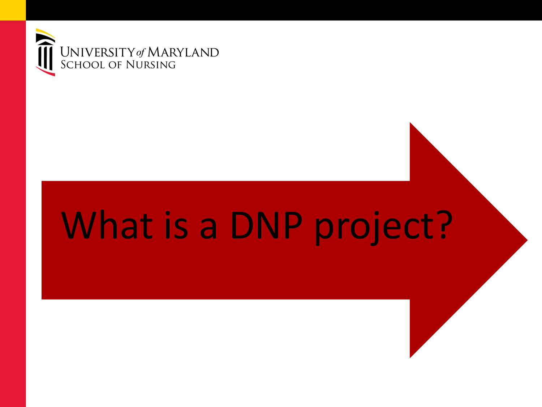

### What is a DNP project?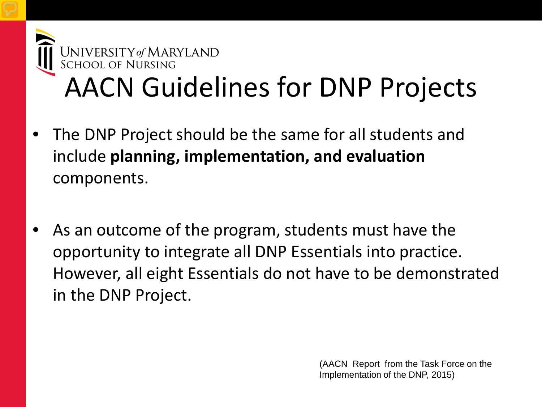

#### AACN Guidelines for DNP Projects

- The DNP Project should be the same for all students and include **planning, implementation, and evaluation**  components.
- As an outcome of the program, students must have the opportunity to integrate all DNP Essentials into practice. However, all eight Essentials do not have to be demonstrated in the DNP Project.

(AACN Report from the Task Force on the Implementation of the DNP, 2015)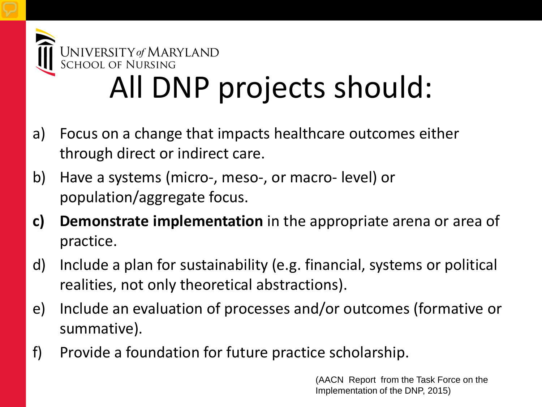

#### All DNP projects should:

- a) Focus on a change that impacts healthcare outcomes either through direct or indirect care.
- b) Have a systems (micro-, meso-, or macro- level) or population/aggregate focus.
- **c) Demonstrate implementation** in the appropriate arena or area of practice.
- d) Include a plan for sustainability (e.g. financial, systems or political realities, not only theoretical abstractions).
- e) Include an evaluation of processes and/or outcomes (formative or summative).
- f) Provide a foundation for future practice scholarship.

(AACN Report from the Task Force on the Implementation of the DNP, 2015)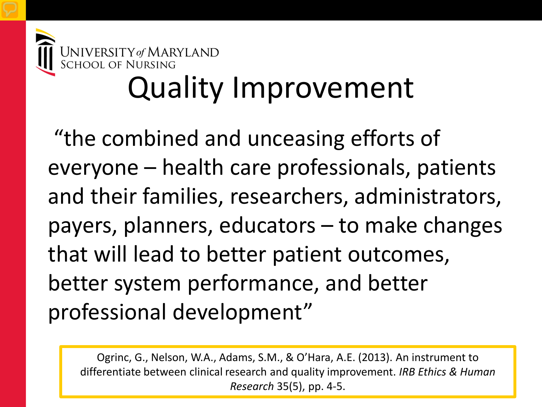

# INIVERSITY of MARYLAND<br>CHOOL OF NURSING<br>Quality Improvement

"the combined and unceasing efforts of everyone – health care professionals, patients and their families, researchers, administrators, payers, planners, educators – to make changes that will lead to better patient outcomes, better system performance, and better professional development"

Ogrinc, G., Nelson, W.A., Adams, S.M., & O'Hara, A.E. (2013). An instrument to differentiate between clinical research and quality improvement. *IRB Ethics & Human Research* 35(5), pp. 4-5.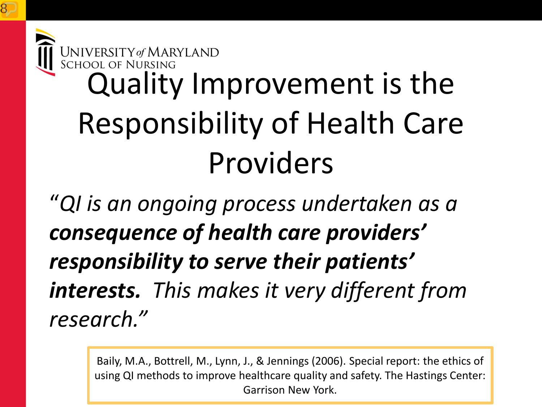## UNIVERSITY of MARYLAND<br>SCHOOL OF NURSING<br>Quality Improvement is the Responsibility of Health Care Providers

"*QI is an ongoing process undertaken as a consequence of health care providers' responsibility to serve their patients' interests. This makes it very different from research."*

> Baily, M.A., Bottrell, M., Lynn, J., & Jennings (2006). Special report: the ethics of using QI methods to improve healthcare quality and safety. The Hastings Center: Garrison New York.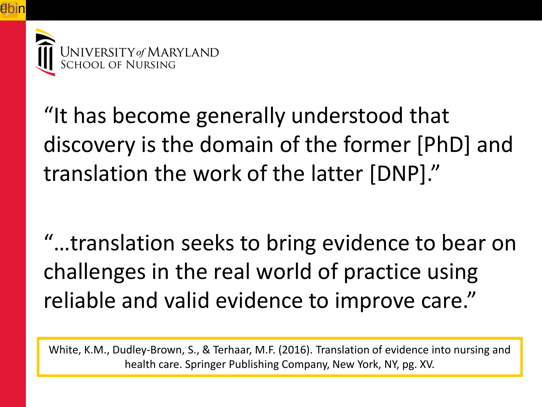

"It has become generally understood that discovery is the domain of the former [PhD] and translation the work of the latter [DNP]."

"…translation seeks to bring evidence to bear on challenges in the real world of practice using reliable and valid evidence to improve care."

White, K.M., Dudley-Brown, S., & Terhaar, M.F. (2016). Translation of evidence into nursing and health care. Springer Publishing Company, New York, NY, pg. XV.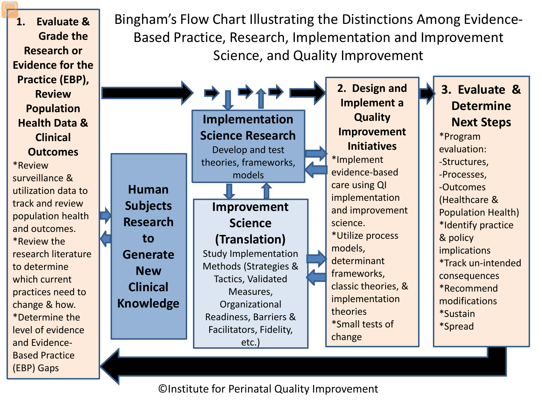Bingham's Flow Chart Illustrating the Distinctions Among Evidence-Based Practice, Research, Implementation and Improvement Science, and Quality Improvement **1. Evaluate & Grade the Research or Evidence for the Practice (EBP), Review Population Health Data & Clinical Outcomes** \*Review surveillance & utilization data to track and review population health and outcomes. \*Review the research literature to determine which current practices need to change & how. \*Determine the level of evidence and Evidence-Based Practice (EBP) Gaps **Human Subjects Research to Generate New Clinical Knowledge Implementation Science Research** Develop and test theories, frameworks, models **2. Design and Implement a Quality Improvement Initiatives** \*Implement evidence-based care using QI implementation and improvement science. \*Utilize process models, determinant frameworks, classic theories, & implementation theories \*Small tests of change **3. Evaluate & Determine Next Steps** \*Program evaluation: -Structures, -Processes, -Outcomes (Healthcare & Population Health) \*Identify practice & policy implications \*Track un-intended consequences \*Recommend modifications \*Sustain \*Spread **Improvement Science (Translation)** Study Implementation Methods (Strategies & Tactics, Validated Measures, Organizational Readiness, Barriers & Facilitators, Fidelity, etc.)

©Institute for Perinatal Quality Improvement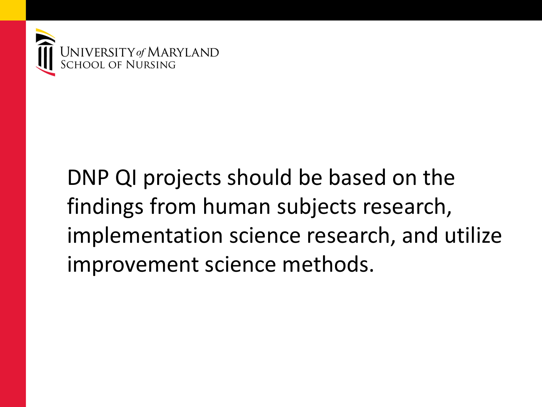

#### DNP QI projects should be based on the findings from human subjects research, implementation science research, and utilize improvement science methods.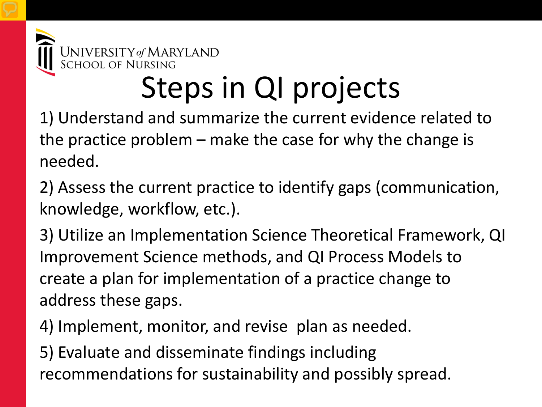

#### Steps in QI projects

1) Understand and summarize the current evidence related to the practice problem – make the case for why the change is needed.

2) Assess the current practice to identify gaps (communication, knowledge, workflow, etc.).

3) Utilize an Implementation Science Theoretical Framework, QI Improvement Science methods, and QI Process Models to create a plan for implementation of a practice change to address these gaps.

4) Implement, monitor, and revise plan as needed.

5) Evaluate and disseminate findings including recommendations for sustainability and possibly spread.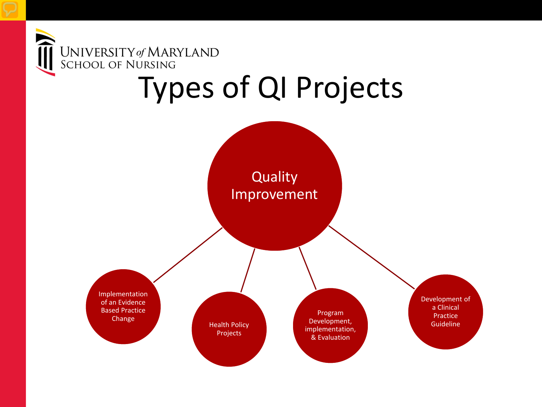

#### Types of QI Projects

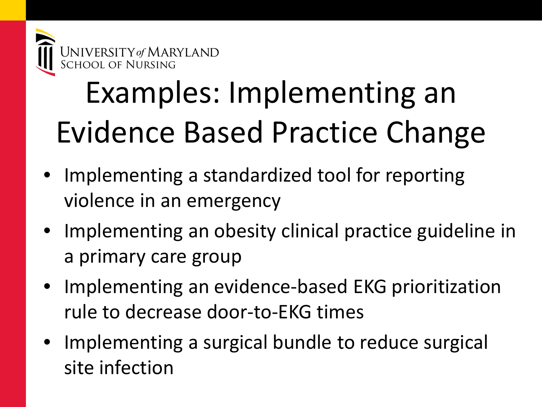

### Examples: Implementing an Evidence Based Practice Change

- Implementing a standardized tool for reporting violence in an emergency
- Implementing an obesity clinical practice guideline in a primary care group
- Implementing an evidence-based EKG prioritization rule to decrease door-to-EKG times
- Implementing a surgical bundle to reduce surgical site infection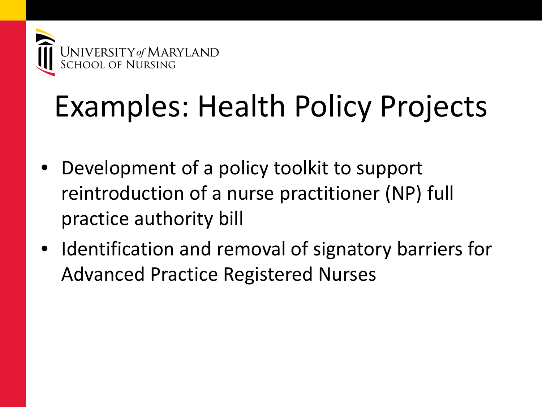

#### Examples: Health Policy Projects

- Development of a policy toolkit to support reintroduction of a nurse practitioner (NP) full practice authority bill
- Identification and removal of signatory barriers for Advanced Practice Registered Nurses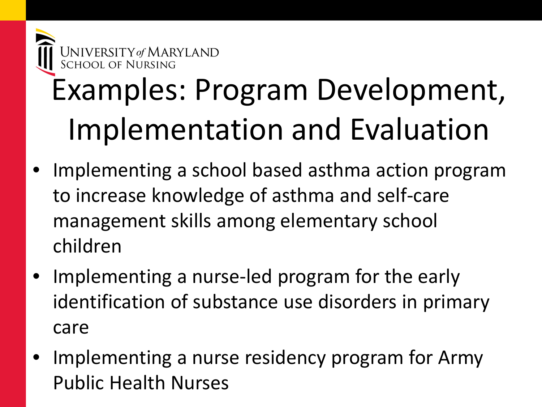

### Examples: Program Development, Implementation and Evaluation

- Implementing a school based asthma action program to increase knowledge of asthma and self-care management skills among elementary school children
- Implementing a nurse-led program for the early identification of substance use disorders in primary care
- Implementing a nurse residency program for Army Public Health Nurses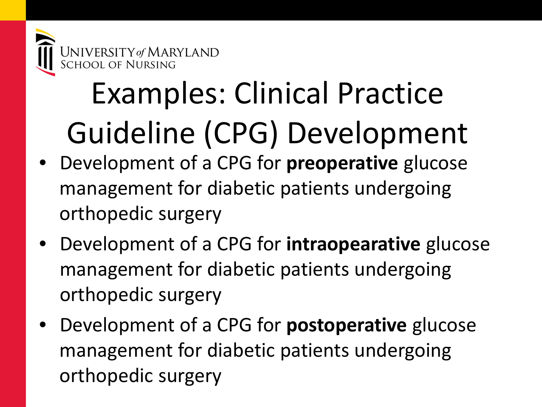

#### Examples: Clinical Practice Guideline (CPG) Development

- Development of a CPG for **preoperative** glucose management for diabetic patients undergoing orthopedic surgery
- Development of a CPG for **intraopearative** glucose management for diabetic patients undergoing orthopedic surgery
- Development of a CPG for **postoperative** glucose management for diabetic patients undergoing orthopedic surgery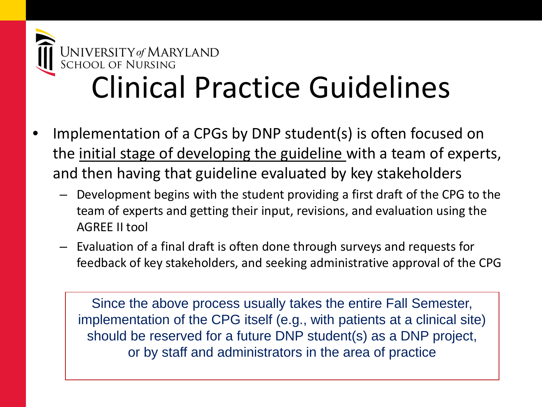

#### Clinical Practice Guidelines

- Implementation of a CPGs by DNP student(s) is often focused on the initial stage of developing the guideline with a team of experts, and then having that guideline evaluated by key stakeholders
	- Development begins with the student providing a first draft of the CPG to the team of experts and getting their input, revisions, and evaluation using the AGREE II tool
	- Evaluation of a final draft is often done through surveys and requests for feedback of key stakeholders, and seeking administrative approval of the CPG

Since the above process usually takes the entire Fall Semester, implementation of the CPG itself (e.g., with patients at a clinical site) should be reserved for a future DNP student(s) as a DNP project, or by staff and administrators in the area of practice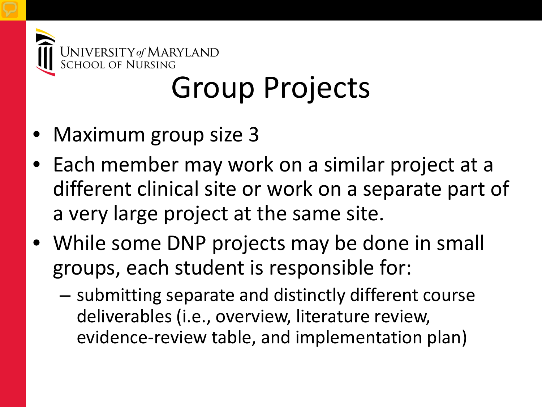

#### Group Projects

- Maximum group size 3
- Each member may work on a similar project at a different clinical site or work on a separate part of a very large project at the same site.
- While some DNP projects may be done in small groups, each student is responsible for:
	- submitting separate and distinctly different course deliverables (i.e., overview, literature review, evidence-review table, and implementation plan)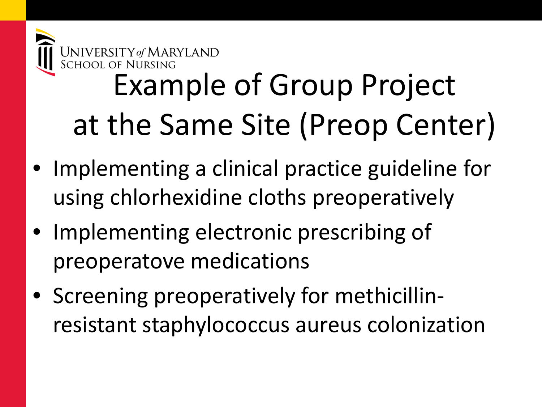

#### Example of Group Project at the Same Site (Preop Center)

- Implementing a clinical practice guideline for using chlorhexidine cloths preoperatively
- Implementing electronic prescribing of preoperatove medications
- Screening preoperatively for methicillinresistant staphylococcus aureus colonization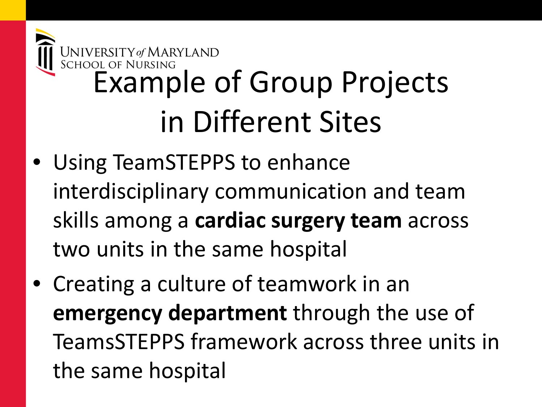

- Using TeamSTEPPS to enhance interdisciplinary communication and team skills among a **cardiac surgery team** across two units in the same hospital
- Creating a culture of teamwork in an **emergency department** through the use of TeamsSTEPPS framework across three units in the same hospital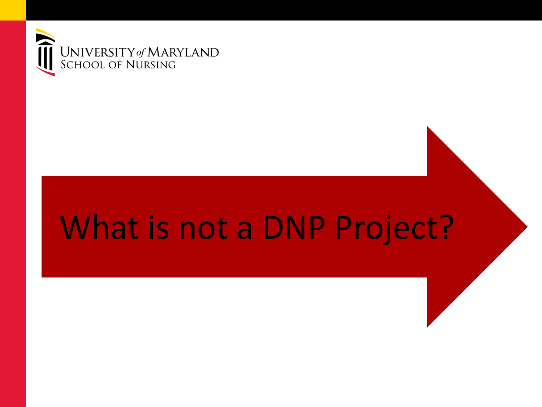

#### What is not a DNP Project?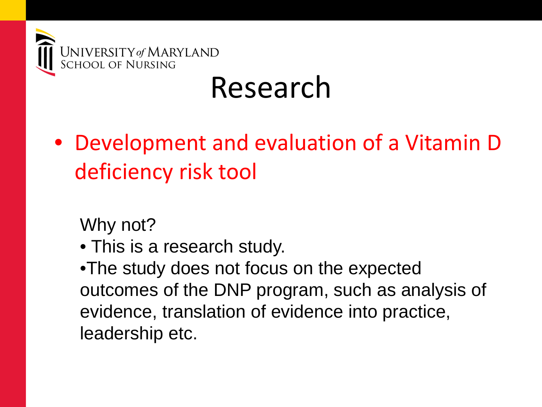

#### Research

• Development and evaluation of a Vitamin D deficiency risk tool

Why not?

• This is a research study.

•The study does not focus on the expected outcomes of the DNP program, such as analysis of evidence, translation of evidence into practice, leadership etc.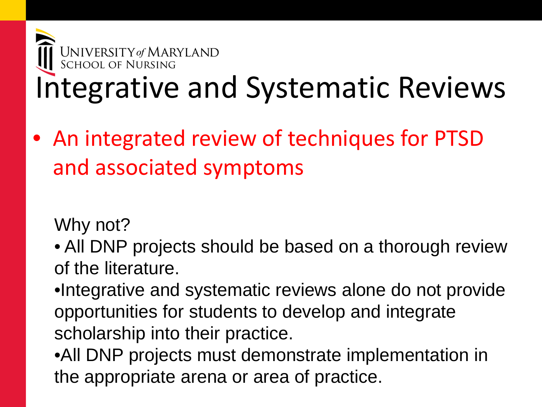

• An integrated review of techniques for PTSD and associated symptoms

Why not?

- All DNP projects should be based on a thorough review of the literature.
- •Integrative and systematic reviews alone do not provide opportunities for students to develop and integrate scholarship into their practice.

•All DNP projects must demonstrate implementation in the appropriate arena or area of practice.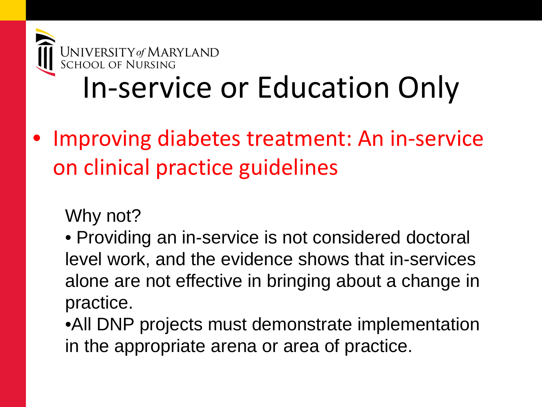

#### In-service or Education Only

Improving diabetes treatment: An in-service on clinical practice guidelines

Why not?

• Providing an in-service is not considered doctoral level work, and the evidence shows that in-services alone are not effective in bringing about a change in practice.

•All DNP projects must demonstrate implementation in the appropriate arena or area of practice.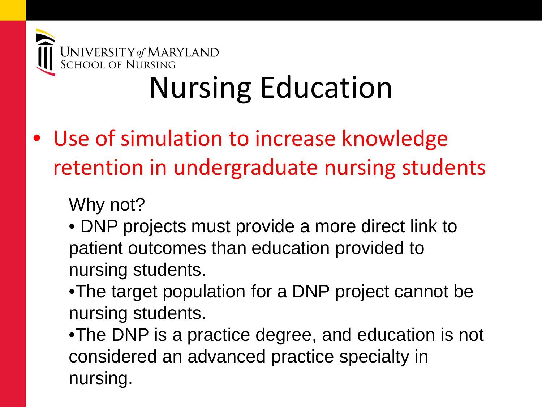

#### Nursing Education

#### • Use of simulation to increase knowledge retention in undergraduate nursing students

Why not?

- DNP projects must provide a more direct link to patient outcomes than education provided to nursing students.
- •The target population for a DNP project cannot be nursing students.

•The DNP is a practice degree, and education is not considered an advanced practice specialty in nursing.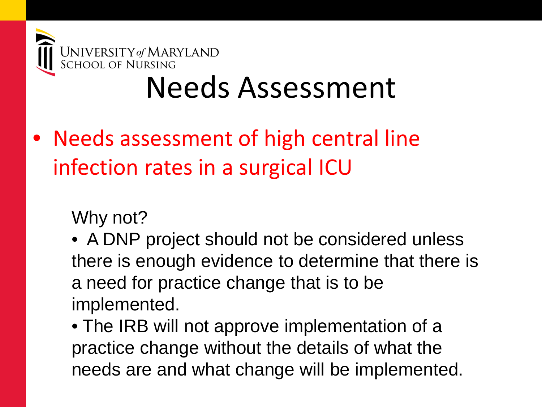

#### Needs Assessment

• Needs assessment of high central line infection rates in a surgical ICU

Why not?

• A DNP project should not be considered unless there is enough evidence to determine that there is a need for practice change that is to be implemented.

• The IRB will not approve implementation of a practice change without the details of what the needs are and what change will be implemented.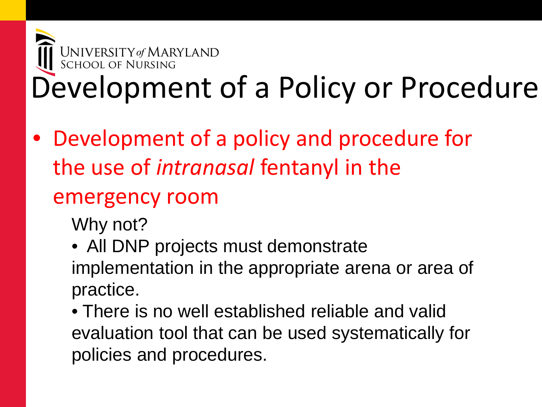#### **UNIVERSITY of MARYLAND**<br>SCHOOL OF NURSING Development of a Policy or Procedure

- Development of a policy and procedure for the use of *intranasal* fentanyl in the emergency room
	- Why not?
	- All DNP projects must demonstrate implementation in the appropriate arena or area of practice.
	- There is no well established reliable and valid evaluation tool that can be used systematically for policies and procedures.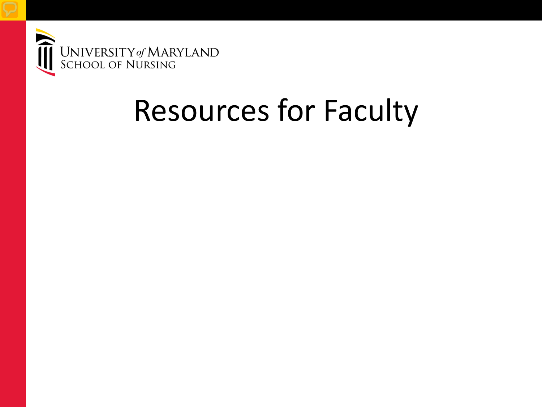

#### Resources for Faculty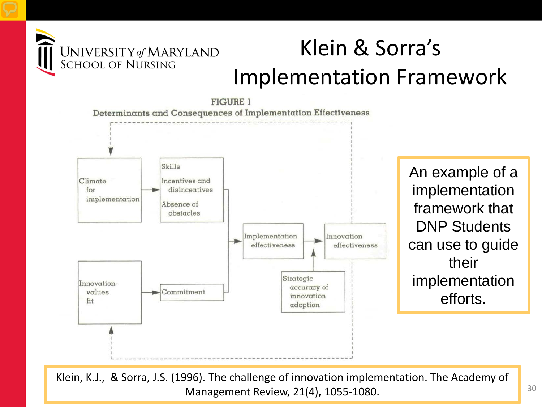

#### Klein & Sorra's Implementation Framework



An example of a implementation framework that DNP Students can use to guide their implementation efforts.

Management Review, 21(4), 1055-1080. And the state of the state of the state of the state of the state of the state of the state of the state of the state of the state of the state of the state of the state of the state of Klein, K.J., & Sorra, J.S. (1996). The challenge of innovation implementation. The Academy of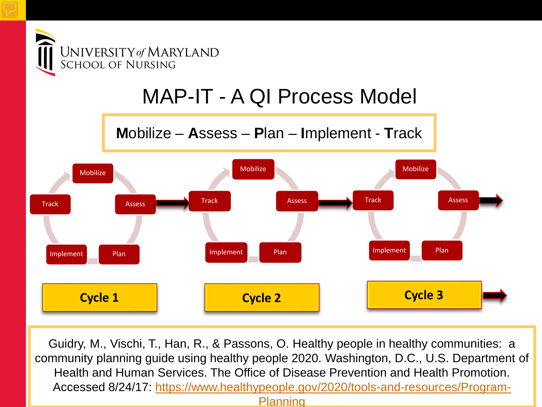

#### MAP-IT - A QI Process Model

**M**obilize – **A**ssess – **P**lan – **I**mplement - **T**rack



Guidry, M., Vischi, T., Han, R., & Passons, O. Healthy people in healthy communities: a community planning guide using healthy people 2020. Washington, D.C., U.S. Department of Health and Human Services. The Office of Disease Prevention and Health Promotion. Accessed 8/24/17: [https://www.healthypeople.gov/2020/tools-and-resources/Program-](https://www.healthypeople.gov/2020/tools-and-resources/Program-Planning)

#### **Planning**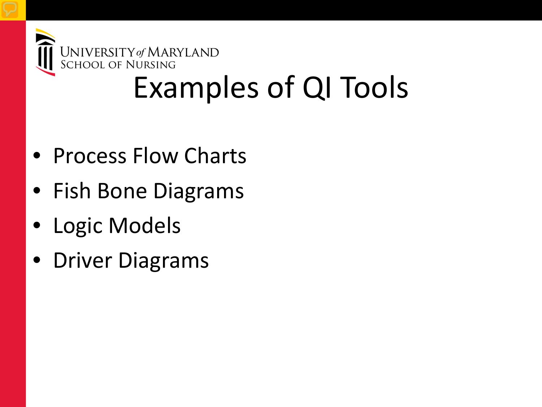

#### Examples of QI Tools

- Process Flow Charts
- Fish Bone Diagrams
- Logic Models
- Driver Diagrams